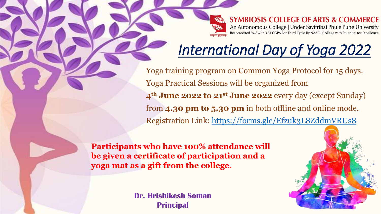**SYMBIOSIS COLLEGE OF ARTS & COMMERCE** An Autonomous College | Under Savitribai Phule Pune University Reaccredited 'A+' with 3.51 CGPA For Third Cycle By NAAC | College with Potential for Excellence

# *International Day of Yoga 2022*

Yoga training program on Common Yoga Protocol for 15 days. Yoga Practical Sessions will be organized from **4th June 2022 to 21st June 2022** every day (except Sunday) from **4.30 pm to 5.30 pm** in both offline and online mode. Registration Link:<https://forms.gle/Efzuk3L8ZddmVRUs8>

**Participants who have 100% attendance will be given a certificate of participation and a yoga mat as a gift from the college.**

> **Dr. Hrishikesh Soman Principal**

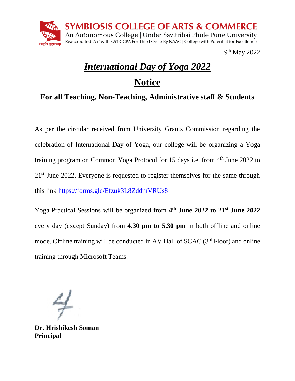

9<sup>th</sup> May 2022

## *International Day of Yoga 2022*

## **Notice**

### **For all Teaching, Non-Teaching, Administrative staff & Students**

As per the circular received from University Grants Commission regarding the celebration of International Day of Yoga, our college will be organizing a Yoga training program on Common Yoga Protocol for 15 days i.e. from  $4<sup>th</sup>$  June 2022 to 21st June 2022. Everyone is requested to register themselves for the same through this link<https://forms.gle/Efzuk3L8ZddmVRUs8>

Yoga Practical Sessions will be organized from **4 th June 2022 to 21st June 2022** every day (except Sunday) from **4.30 pm to 5.30 pm** in both offline and online mode. Offline training will be conducted in AV Hall of SCAC (3<sup>rd</sup> Floor) and online training through Microsoft Teams.

**Dr. Hrishikesh Soman Principal**